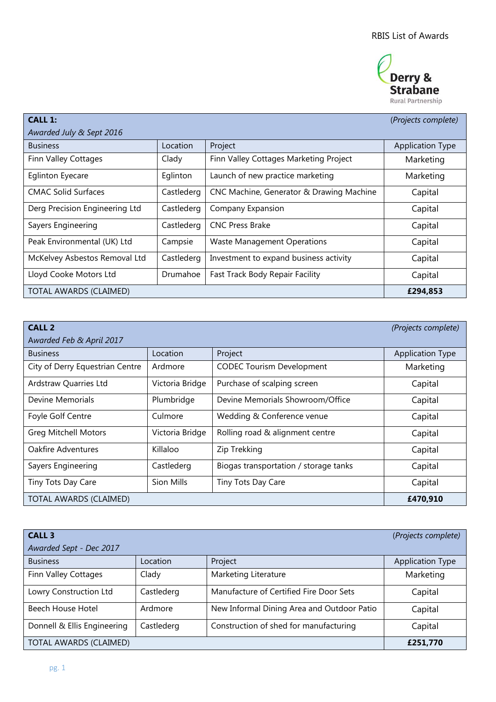

| <b>CALL 1:</b>                 |            |                                          | (Projects complete)     |  |
|--------------------------------|------------|------------------------------------------|-------------------------|--|
| Awarded July & Sept 2016       |            |                                          |                         |  |
| <b>Business</b>                | Location   | Project                                  | <b>Application Type</b> |  |
| Finn Valley Cottages           | Clady      | Finn Valley Cottages Marketing Project   | Marketing               |  |
| <b>Eglinton Eyecare</b>        | Eglinton   | Launch of new practice marketing         | Marketing               |  |
| <b>CMAC Solid Surfaces</b>     | Castlederg | CNC Machine, Generator & Drawing Machine | Capital                 |  |
| Derg Precision Engineering Ltd | Castlederg | Company Expansion                        | Capital                 |  |
| Sayers Engineering             | Castlederg | <b>CNC Press Brake</b>                   | Capital                 |  |
| Peak Environmental (UK) Ltd    | Campsie    | <b>Waste Management Operations</b>       | Capital                 |  |
| McKelvey Asbestos Removal Ltd  | Castlederg | Investment to expand business activity   | Capital                 |  |
| Lloyd Cooke Motors Ltd         | Drumahoe   | Fast Track Body Repair Facility          | Capital                 |  |
| TOTAL AWARDS (CLAIMED)         |            |                                          | £294,853                |  |

| <b>CALL 2</b>                   |                 |                                       | (Projects complete)     |  |
|---------------------------------|-----------------|---------------------------------------|-------------------------|--|
| Awarded Feb & April 2017        |                 |                                       |                         |  |
| <b>Business</b>                 | Location        | Project                               | <b>Application Type</b> |  |
| City of Derry Equestrian Centre | Ardmore         | <b>CODEC Tourism Development</b>      | Marketing               |  |
| Ardstraw Quarries Ltd           | Victoria Bridge | Purchase of scalping screen           | Capital                 |  |
| Devine Memorials                | Plumbridge      | Devine Memorials Showroom/Office      | Capital                 |  |
| Foyle Golf Centre               | Culmore         | Wedding & Conference venue            | Capital                 |  |
| <b>Greg Mitchell Motors</b>     | Victoria Bridge | Rolling road & alignment centre       | Capital                 |  |
| Oakfire Adventures              | Killaloo        | Zip Trekking                          | Capital                 |  |
| Sayers Engineering              | Castlederg      | Biogas transportation / storage tanks | Capital                 |  |
| Tiny Tots Day Care              | Sion Mills      | Tiny Tots Day Care                    | Capital                 |  |
| TOTAL AWARDS (CLAIMED)          |                 |                                       | £470,910                |  |

| <b>CALL 3</b>               |            |                                            | (Projects complete)     |
|-----------------------------|------------|--------------------------------------------|-------------------------|
| Awarded Sept - Dec 2017     |            |                                            |                         |
| <b>Business</b>             | Location   | Project                                    | <b>Application Type</b> |
| Finn Valley Cottages        | Clady      | Marketing Literature                       | Marketing               |
| Lowry Construction Ltd      | Castlederg | Manufacture of Certified Fire Door Sets    | Capital                 |
| Beech House Hotel           | Ardmore    | New Informal Dining Area and Outdoor Patio | Capital                 |
| Donnell & Ellis Engineering | Castlederg | Construction of shed for manufacturing     | Capital                 |
| TOTAL AWARDS (CLAIMED)      |            |                                            | £251,770                |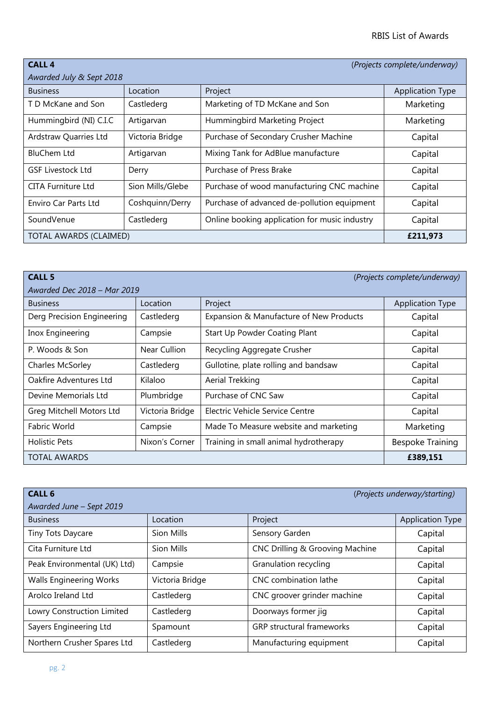| <b>CALL 4</b>             | (Projects complete/underway) |                                               |                         |  |
|---------------------------|------------------------------|-----------------------------------------------|-------------------------|--|
| Awarded July & Sept 2018  |                              |                                               |                         |  |
| <b>Business</b>           | Location                     | Project                                       | <b>Application Type</b> |  |
| T D McKane and Son        | Castlederg                   | Marketing of TD McKane and Son                | Marketing               |  |
| Hummingbird (NI) C.I.C    | Artigarvan                   | Hummingbird Marketing Project                 | Marketing               |  |
| Ardstraw Quarries Ltd     | Victoria Bridge              | Purchase of Secondary Crusher Machine         | Capital                 |  |
| <b>BluChem Ltd</b>        | Artigarvan                   | Mixing Tank for AdBlue manufacture            | Capital                 |  |
| <b>GSF Livestock Ltd</b>  | Derry                        | Purchase of Press Brake                       | Capital                 |  |
| <b>CITA Furniture Ltd</b> | Sion Mills/Glebe             | Purchase of wood manufacturing CNC machine    | Capital                 |  |
| Enviro Car Parts Ltd      | Coshquinn/Derry              | Purchase of advanced de-pollution equipment   | Capital                 |  |
| SoundVenue                | Castlederg                   | Online booking application for music industry | Capital                 |  |
| TOTAL AWARDS (CLAIMED)    |                              |                                               | £211,973                |  |

| <b>CALL 5</b><br>(Projects complete/underway) |                 |                                         |                         |  |
|-----------------------------------------------|-----------------|-----------------------------------------|-------------------------|--|
| Awarded Dec 2018 - Mar 2019                   |                 |                                         |                         |  |
| <b>Business</b>                               | Location        | Project                                 | <b>Application Type</b> |  |
| Derg Precision Engineering                    | Castlederg      | Expansion & Manufacture of New Products | Capital                 |  |
| Inox Engineering                              | Campsie         | Start Up Powder Coating Plant           | Capital                 |  |
| P. Woods & Son                                | Near Cullion    | Recycling Aggregate Crusher             | Capital                 |  |
| Charles McSorley                              | Castlederg      | Gullotine, plate rolling and bandsaw    | Capital                 |  |
| Oakfire Adventures Ltd                        | Kilaloo         | Aerial Trekking                         | Capital                 |  |
| Devine Memorials Ltd                          | Plumbridge      | Purchase of CNC Saw                     | Capital                 |  |
| Greg Mitchell Motors Ltd                      | Victoria Bridge | Electric Vehicle Service Centre         | Capital                 |  |
| Fabric World                                  | Campsie         | Made To Measure website and marketing   | Marketing               |  |
| <b>Holistic Pets</b>                          | Nixon's Corner  | Training in small animal hydrotherapy   | <b>Bespoke Training</b> |  |
| <b>TOTAL AWARDS</b>                           |                 |                                         | £389,151                |  |

| <b>CALL 6</b>                  |                 |                                  | (Projects underway/starting) |
|--------------------------------|-----------------|----------------------------------|------------------------------|
| Awarded June - Sept 2019       |                 |                                  |                              |
| <b>Business</b>                | Location        | Project                          | <b>Application Type</b>      |
| <b>Tiny Tots Daycare</b>       | Sion Mills      | Sensory Garden                   | Capital                      |
| Cita Furniture Ltd             | Sion Mills      | CNC Drilling & Grooving Machine  | Capital                      |
| Peak Environmental (UK) Ltd)   | Campsie         | Granulation recycling            | Capital                      |
| <b>Walls Engineering Works</b> | Victoria Bridge | CNC combination lathe            | Capital                      |
| Arolco Ireland Ltd             | Castlederg      | CNC groover grinder machine      | Capital                      |
| Lowry Construction Limited     | Castlederg      | Doorways former jig              | Capital                      |
| Sayers Engineering Ltd         | Spamount        | <b>GRP</b> structural frameworks | Capital                      |
| Northern Crusher Spares Ltd    | Castlederg      | Manufacturing equipment          | Capital                      |